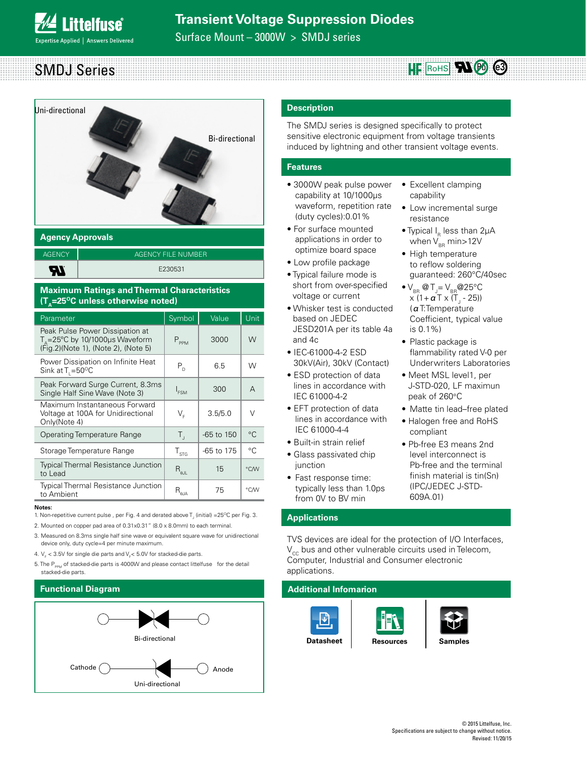Surface Mount – 3000W > SMDJ series





### **Agency Approvals**

| <b>AGENCY</b> | AGENCY FILE NUMBER |
|---------------|--------------------|
| ŖL            | E230531            |

### **Maximum Ratings and Thermal Characteristics (T<sub>n</sub>=25<sup>o</sup>C unless otherwise noted)**

| Parameter                                                                                                            | Symbol                                                | Value        | <b>Unit</b> |
|----------------------------------------------------------------------------------------------------------------------|-------------------------------------------------------|--------------|-------------|
| Peak Pulse Power Dissipation at<br>$T_{\rm s}$ = 25°C by 10/1000µs Waveform<br>(Fig. 2) (Note 1), (Note 2), (Note 5) | $P_{PPM}$                                             | 3000         | W           |
| Power Dissipation on Infinite Heat<br>Sink at $T_1 = 50^{\circ}$ C                                                   | $P_{D}$                                               | 6.5          | W           |
| Peak Forward Surge Current, 8.3ms<br>Single Half Sine Wave (Note 3)                                                  | $I_{FSM}$                                             | 300          | A           |
| Maximum Instantaneous Forward<br>Voltage at 100A for Unidirectional<br>Only(Note 4)                                  | $V_{\varepsilon}$                                     | 3.5/5.0      | $\vee$      |
| Operating Temperature Range                                                                                          | $T_{\rm d}$                                           | $-65$ to 150 | °C          |
| Storage Temperature Range                                                                                            | $\mathsf{T}_{\text{STG}}$                             | -65 to 175   | °C.         |
| <b>Typical Thermal Resistance Junction</b><br>to Lead                                                                | $\mathsf{R}_{\scriptscriptstyle\vartheta\mathsf{JL}}$ | 15           | °C/W        |
| <b>Typical Thermal Resistance Junction</b><br>to Ambient                                                             | $\mathsf{R}_{\scriptscriptstyle\theta\mathsf{JA}}$    | 75           | °C/W        |

#### **Notes:**

- 1. Non-repetitive current pulse , per Fig. 4 and derated above  $T_{\rm j}$  (initial) =25°C per Fig. 3.
- 2. Mounted on copper pad area of 0.31x0.31" (8.0 x 8.0mm) to each terminal.

3. Measured on 8.3ms single half sine wave or equivalent square wave for unidirectional device only, duty cycle=4 per minute maximum.

- 4.  $V_F$  < 3.5V for single die parts and  $V_F$ < 5.0V for stacked-die parts.
- 5. The  $P_{p_{PAM}}$  of stacked-die parts is 4000W and please contact littelfuse for the detail stacked-die parts.



### **Description**

The SMDJ series is designed specifically to protect sensitive electronic equipment from voltage transients induced by lightning and other transient voltage events.

### **Features**

- 3000W peak pulse power capability at 10/1000μs waveform, repetition rate (duty cycles):0.01%
- For surface mounted applications in order to optimize board space
- Low profile package
- Typical failure mode is short from over-specified voltage or current
- Whisker test is conducted based on JEDEC JESD201A per its table 4a and 4c
- IEC-61000-4-2 ESD 30kV(Air), 30kV (Contact)
- ESD protection of data lines in accordance with IEC 61000-4-2
- EFT protection of data lines in accordance with IEC 61000-4-4
- Built-in strain relief
- Glass passivated chip iunction
- Fast response time: typically less than 1.0ps from 0V to BV min

### **Applications**

TVS devices are ideal for the protection of I/O Interfaces,  $V_{cc}$  bus and other vulnerable circuits used in Telecom, Computer, Industrial and Consumer electronic applications.

# **Additional Infomarion** ŀ۳







- Typical  $I_R$  less than 2µA when  $V_{BB}$  min>12V
- High temperature to reflow soldering guaranteed: 260°C/40sec
- $\bullet$  V<sub>BR</sub> @ T<sub>J</sub>= V<sub>BR</sub> @ 25°C x (1+ **α** Τ x (Τ<sub>յ</sub> - 25)) (αT:Temperature Coefficient, typical value is 0.1%)
- Plastic package is flammability rated V-0 per Underwriters Laboratories
- Meet MSL level1, per J-STD-020, LF maximun peak of 260°C
- Matte tin lead–free plated
- Halogen free and RoHS compliant
- Pb-free E3 means 2nd level interconnect is Pb-free and the terminal finish material is tin(Sn) (IPC/JEDEC J-STD-609A.01)

© 2015 Littelfuse, Inc. Specifications are subject to change without notice. Revised: 11/20/15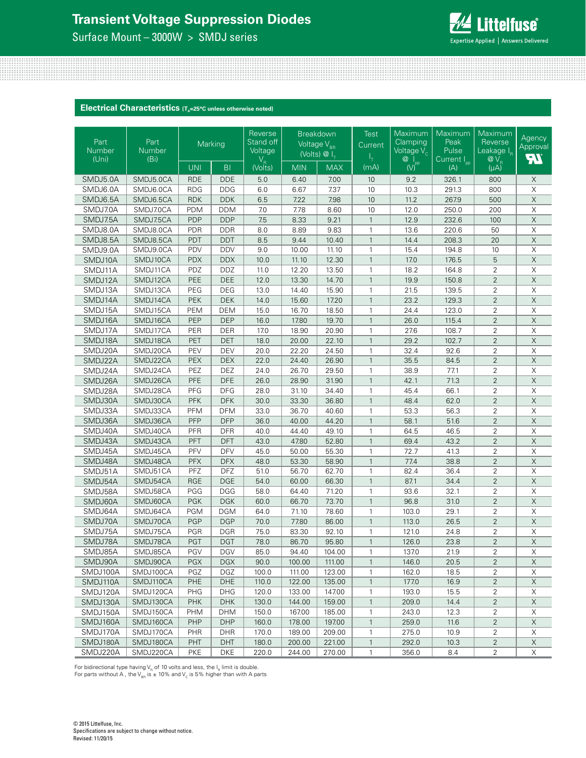Surface Mount – 3000W > SMDJ series



**Electrical Characteristics** (T<sub>A</sub>=25°C unless otherwise noted)

| Part<br>Number<br>(Uni) | Part<br>Number<br>(Bi) | Marking                     |                | Reverse<br>Stand off<br>Voltage | Breakdown<br>Voltage V <sub>BR</sub> | (Volts) $@I_{\tau}$ | <b>Test</b><br>Current | Maximum<br>Clamping<br>Voltage V <sub>c</sub>                                    | Maximum<br>Peak<br>Pulse<br>Current I <sub>pp</sub> | Maximum<br>Reverse<br>Leakage I <sub>R</sub><br>$@V_{R}$ | Agency<br>Approval<br><b>FT.</b> |
|-------------------------|------------------------|-----------------------------|----------------|---------------------------------|--------------------------------------|---------------------|------------------------|----------------------------------------------------------------------------------|-----------------------------------------------------|----------------------------------------------------------|----------------------------------|
|                         |                        | <b>UNI</b>                  | B <sub>1</sub> | $V_R$<br>(Volts)                | <b>MIN</b>                           | <b>MAX</b>          | (mA)                   | $\begin{matrix} \mathbf{Q} & \mathbf{I} \\ \mathbf{W} & \mathbf{P} \end{matrix}$ | (A)                                                 | $(\mu A)$                                                |                                  |
| SMDJ5.0A                | SMDJ5.0CA              | <b>RDE</b>                  | <b>DDE</b>     | 5.0                             | 6.40                                 | 7.00                | 10                     | 9.2                                                                              | 326.1                                               | 800                                                      | $\mathsf X$                      |
| SMDJ6.0A                | SMDJ6.0CA              | $R\overline{D}\overline{G}$ | <b>DDG</b>     | 6.0                             | 6.67                                 | 7.37                | 10                     | 10.3                                                                             | 291.3                                               | 800                                                      | $\mathsf X$                      |
| SMDJ6.5A                | SMDJ6.5CA              | <b>RDK</b>                  | <b>DDK</b>     | $6.5\,$                         | 7.22                                 | 7.98                | 10                     | 11.2                                                                             | 267.9                                               | 500                                                      | $\mathsf X$                      |
| SMDJ7.0A                | SMDJ7.0CA              | <b>PDM</b>                  | <b>DDM</b>     | 7.0                             | 7.78                                 | 8.60                | 10                     | 12.0                                                                             | 250.0                                               | 200                                                      | X                                |
| SMDJ7.5A                | SMDJ7.5CA              | PDP                         | <b>DDP</b>     | 7.5                             | 8.33                                 | 9.21                | $\mathbf{1}$           | 12.9                                                                             | 232.6                                               | 100                                                      | $\mathsf X$                      |
| SMDJ8.0A                | SMDJ8.0CA              | <b>PDR</b>                  | <b>DDR</b>     | 8.0                             | 8.89                                 | 9.83                | $\mathbf{1}$           | 13.6                                                                             | 220.6                                               | 50                                                       | $\overline{\mathsf{X}}$          |
| SMDJ8.5A                | SMDJ8.5CA              | PDT                         | <b>DDT</b>     | 8.5                             | 9.44                                 | 10.40               | $\mathbf{1}$           | 14.4                                                                             | 208.3                                               | 20                                                       | $\mathsf X$                      |
| SMDJ9.0A                | SMDJ9.0CA              | PDV                         | <b>DDV</b>     | 9.0                             | 10.00                                | 11.10               | $\mathbf{1}$           | 15.4                                                                             | 194.8                                               | 10                                                       | $\boldsymbol{\mathsf{X}}$        |
| SMDJ10A                 | SMDJ10CA               | <b>PDX</b>                  | <b>DDX</b>     | 10.0                            | 11.10                                | 12.30               | $\mathbf{1}$           | 17.0                                                                             | 176.5                                               | $\overline{5}$                                           | $\overline{\mathsf{X}}$          |
| SMDJ11A                 | SMDJ11CA               | PDZ                         | <b>DDZ</b>     | 11.0                            | 12.20                                | 13.50               | $\mathbf{1}$           | 18.2                                                                             | 164.8                                               | $\overline{2}$                                           | $\mathsf X$                      |
| SMDJ12A                 | SMDJ12CA               | PEE                         | <b>DEE</b>     | 12.0                            | 13.30                                | 14.70               | $\mathbf{1}$           | 19.9                                                                             | 150.8                                               | $\overline{2}$                                           | $\overline{\mathsf{X}}$          |
| SMDJ13A                 | SMDJ13CA               | PEG                         | <b>DEG</b>     | 13.0                            | 14.40                                | 15.90               | $\mathbf{1}$           | 21.5                                                                             | 139.5                                               | 2                                                        | $\boldsymbol{\mathsf{X}}$        |
| SMDJ14A                 | SMDJ14CA               | PEK                         | DEK            | 14.0                            | 15.60                                | 17.20               | $\mathbf{1}$           | 23.2                                                                             | 129.3                                               | $\overline{2}$                                           | $\overline{\mathsf{X}}$          |
| SMDJ15A                 | SMDJ15CA               | PEM                         | <b>DEM</b>     | 15.0                            | 16.70                                | 18.50               | $\mathbf{1}$           | 24.4                                                                             | 123.0                                               | $\overline{2}$                                           | $\mathsf X$                      |
| SMDJ16A                 | SMDJ16CA               | PEP                         | <b>DEP</b>     | 16.0                            | 17.80                                | 19.70               | $\mathbf{1}$           | 26.0                                                                             | 115.4                                               | $\overline{2}$                                           | $\overline{\mathsf{X}}$          |
| SMDJ17A                 | SMDJ17CA               | PER                         | DER            | 17.0                            | 18.90                                | 20.90               | $\mathbf{1}$           | 27.6                                                                             | 108.7                                               | 2                                                        | $\boldsymbol{\mathsf{X}}$        |
| SMDJ18A                 | SMDJ18CA               | PET                         | <b>DET</b>     | 18.0                            | 20.00                                | 22.10               | $\mathbf{1}$           | 29.2                                                                             | 102.7                                               | $\overline{2}$                                           | $\overline{\mathsf{X}}$          |
| SMDJ20A                 | SMDJ20CA               | PEV                         | <b>DEV</b>     | 20.0                            | 22.20                                | 24.50               | $\mathbf{1}$           | 32.4                                                                             | 92.6                                                | $\overline{2}$                                           | $\mathsf X$                      |
| SMDJ22A                 | SMDJ22CA               | PEX                         | <b>DEX</b>     | 22.0                            | 24.40                                | 26.90               | $\mathbf{1}$           | 35.5                                                                             | 84.5                                                | $\overline{2}$                                           | $\overline{\mathsf{X}}$          |
| SMDJ24A                 | SMDJ24CA               | PEZ                         | <b>DEZ</b>     | 24.0                            | 26.70                                | 29.50               | 1                      | 38.9                                                                             | 77.1                                                | $\overline{2}$                                           | X                                |
| SMDJ26A                 | SMDJ26CA               | PFE                         | <b>DFE</b>     | 26.0                            | 28.90                                | 31.90               | $\mathbf{1}$           | 42.1                                                                             | 71.3                                                | $\overline{2}$                                           | $\overline{\mathsf{X}}$          |
| SMDJ28A                 | SMDJ28CA               | PFG                         | <b>DFG</b>     | 28.0                            | 31.10                                | 34.40               | $\mathbf{1}$           | 45.4                                                                             | 66.1                                                | $\overline{2}$                                           | $\mathsf X$                      |
| SMDJ30A                 | SMDJ30CA               | PFK                         | <b>DFK</b>     | 30.0                            | 33.30                                | 36.80               | $\mathbf{1}$           | 48.4                                                                             | 62.0                                                | $\overline{2}$                                           | $\overline{X}$                   |
| SMDJ33A                 | SMDJ33CA               | PFM                         | <b>DFM</b>     | 33.0                            | 36.70                                | 40.60               | $\mathbf{1}$           | 53.3                                                                             | 56.3                                                | $\overline{2}$                                           | $\overline{X}$                   |
| SMDJ36A                 | SMDJ36CA               | PFP                         | <b>DFP</b>     | 36.0                            | 40.00                                | 44.20               | $\mathbf{1}$           | 58.1                                                                             | 51.6                                                | $\overline{2}$                                           | $\overline{\mathsf{X}}$          |
| SMDJ40A                 | SMDJ40CA               | PFR                         | <b>DFR</b>     | 40.0                            | 44.40                                | 49.10               | $\mathbf{1}$           | 64.5                                                                             | 46.5                                                | $\overline{2}$                                           | $\overline{\mathsf{x}}$          |
| SMDJ43A                 | SMDJ43CA               | PFT                         | <b>DFT</b>     | 43.0                            | 47.80                                | 52.80               | $\mathbf{1}$           | 69.4                                                                             | 43.2                                                | $\overline{2}$                                           | $\mathsf X$                      |
| SMDJ45A                 | SMDJ45CA               | PFV                         | <b>DFV</b>     | 45.0                            | 50.00                                | 55.30               | 1                      | 72.7                                                                             | 41.3                                                | 2                                                        | $\mathsf X$                      |
| SMDJ48A                 | SMDJ48CA               | <b>PFX</b>                  | <b>DFX</b>     | 48.0                            | 53.30                                | 58.90               | $\mathbf{1}$           | 77.4                                                                             | 38.8                                                | $\overline{2}$                                           | $\mathsf X$                      |
| SMDJ51A                 | SMDJ51CA               | PFZ                         | <b>DFZ</b>     | 51.0                            | 56.70                                | 62.70               | 1                      | 82.4                                                                             | 36.4                                                | $\overline{2}$                                           | $\overline{\mathsf{X}}$          |
| SMDJ54A                 | SMDJ54CA               | <b>RGE</b>                  | <b>DGE</b>     | 54.0                            | 60.00                                | 66.30               | $\mathbf{1}$           | 87.1                                                                             | 34.4                                                | $\overline{2}$                                           | $\overline{\mathsf{X}}$          |
| SMDJ58A                 | SMDJ58CA               | PGG                         | <b>DGG</b>     | 58.0                            | 64.40                                | 71.20               | 1                      | 93.6                                                                             | 32.1                                                | $\overline{2}$                                           | $\overline{\mathsf{X}}$          |
| SMDJ60A                 | SMDJ60CA               | PGK                         | <b>DGK</b>     | 60.0                            | 66.70                                | 73.70               | $\mathbf{1}$           | 96.8                                                                             | 31.0                                                | $\overline{2}$                                           | $\mathsf X$                      |
| SMDJ64A                 | SMDJ64CA               | <b>PGM</b>                  | <b>DGM</b>     | 64.0                            | 71.10                                | 78.60               | 1                      | 103.0                                                                            | 29.1                                                | $\overline{2}$                                           | $\overline{\mathsf{X}}$          |
| SMDJ70A                 | SMDJ70CA               | PGP                         | <b>DGP</b>     | 70.0                            | 77.80                                | 86.00               | $\mathbf{1}$           | 113.0                                                                            | 26.5                                                | $\overline{2}$                                           | $\overline{\mathsf{X}}$          |
| SMDJ75A                 | SMDJ75CA               | <b>PGR</b>                  | <b>DGR</b>     | 75.0                            | 83.30                                | 92.10               | 1                      | 121.0                                                                            | 24.8                                                | 2                                                        | $\mathsf X$                      |
| SMDJ78A                 | SMDJ78CA               | PGT                         | <b>DGT</b>     | 78.0                            | 86.70                                | 95.80               | $\mathbf{1}$           | 126.0                                                                            | 23.8                                                | $\overline{2}$                                           | $\overline{\mathsf{X}}$          |
| SMDJ85A                 | SMDJ85CA               | PGV                         | <b>DGV</b>     | 85.0                            | 94.40                                | 104.00              |                        | 137.0                                                                            | 21.9                                                | 2                                                        | $\mathsf X$                      |
| SMDJ90A                 | SMDJ90CA               | PGX                         | <b>DGX</b>     | 90.0                            | 100.00                               | 111.00              | $\mathbf{1}$           | 146.0                                                                            | 20.5                                                | $\overline{2}$                                           | $\mathsf X$                      |
| SMDJ100A                | SMDJ100CA              | PGZ                         | DGZ            | 100.0                           | 111.00                               | 123.00              | 1                      | 162.0                                                                            | 18.5                                                | 2                                                        | Χ                                |
| SMDJ110A                | SMDJ110CA              | PHE                         | DHE            | 110.0                           | 122.00                               | 135.00              | $\mathbf{1}$           | 177.0                                                                            | 16.9                                                | $\overline{2}$                                           | $\mathsf X$                      |
| SMDJ120A                | SMDJ120CA              | PHG                         | <b>DHG</b>     | 120.0                           | 133.00                               | 147.00              | 1                      | 193.0                                                                            | 15.5                                                | 2                                                        | X                                |
| SMDJ130A                | SMDJ130CA              | PHK                         | DHK            | 130.0                           | 144.00                               | 159.00              | $\mathbf{1}$           | 209.0                                                                            | 14.4                                                | $\overline{2}$                                           | $\mathsf X$                      |
| SMDJ150A                | SMDJ150CA              | <b>PHM</b>                  | DHM            | 150.0                           | 167.00                               | 185.00              | 1                      | 243.0                                                                            | 12.3                                                | 2                                                        | X                                |
| SMDJ160A                | SMDJ160CA              | PHP                         | <b>DHP</b>     | 160.0                           | 178.00                               | 197.00              | $\mathbf{1}$           | 259.0                                                                            | 11.6                                                | $\overline{2}$                                           | $\times$                         |
| SMDJ170A                | SMDJ170CA              | <b>PHR</b>                  | DHR            | 170.0                           | 189.00                               | 209.00              | 1                      | 275.0                                                                            | 10.9                                                | 2                                                        | X                                |
| SMDJ180A                | SMDJ180CA              | PHT                         | DHT            | 180.0                           | 200.00                               | 221.00              | $\mathbf{1}$           | 292.0                                                                            | 10.3                                                | $\overline{2}$                                           | $\mathsf X$                      |
| SMDJ220A                | SMDJ220CA              | <b>PKE</b>                  | DKE            | 220.0                           | 244.00                               | 270.00              | $\mathbf{1}$           | 356.0                                                                            | 8.4                                                 | 2                                                        | X                                |
|                         |                        |                             |                |                                 |                                      |                     |                        |                                                                                  |                                                     |                                                          |                                  |

For bidirectional type having V<sub>R</sub> of 10 volts and less, the I<sub>R</sub> limit is double.<br>For parts without A , the V<sub>BR</sub> is ± 10% and V<sub>c</sub> is 5% higher than with A parts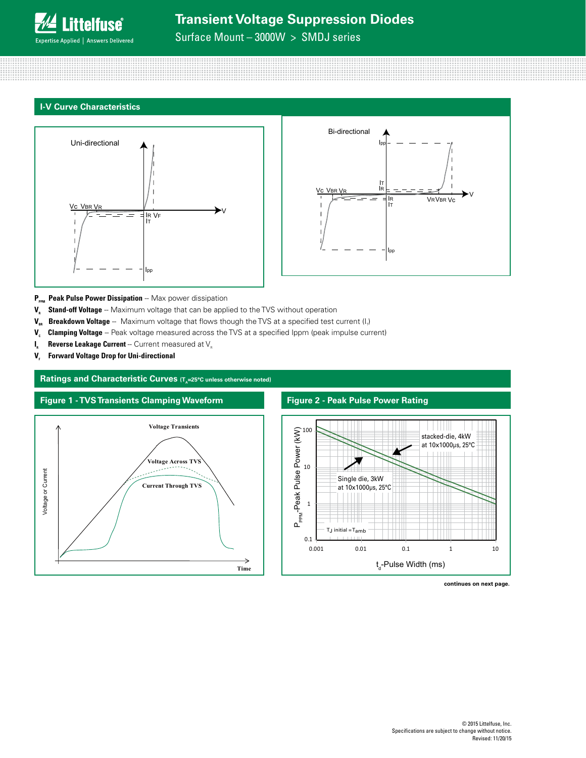**Littelfuse**® **Expertise Applied | Answers Delivered** 

### Surface Mount – 3000W > SMDJ series

### **I-V Curve Characteristics**





- P<sub>PPM</sub> Peak Pulse Power Dissipation -- Max power dissipation
- **V<sub>R</sub>** Stand-off Voltage -- Maximum voltage that can be applied to the TVS without operation
- **V<sub>BR</sub> Breakdown Voltage** -- Maximum voltage that flows though the TVS at a specified test current (I<sub>r</sub>)
- V<sub>c</sub> Clamping Voltage -- Peak voltage measured across the TVS at a specified Ippm (peak impulse current)
- $I_{R}$  **Reverse Leakage Current** -- Current measured at  $V_{R}$
- **V<sub>r</sub>** Forward Voltage Drop for Uni-directional

### **Ratings and Characteristic Curves (T<sub>A</sub>=25°C unless otherwise noted)**



#### **Figure 2 - Peak Pulse Power Rating**



**continues on next page.**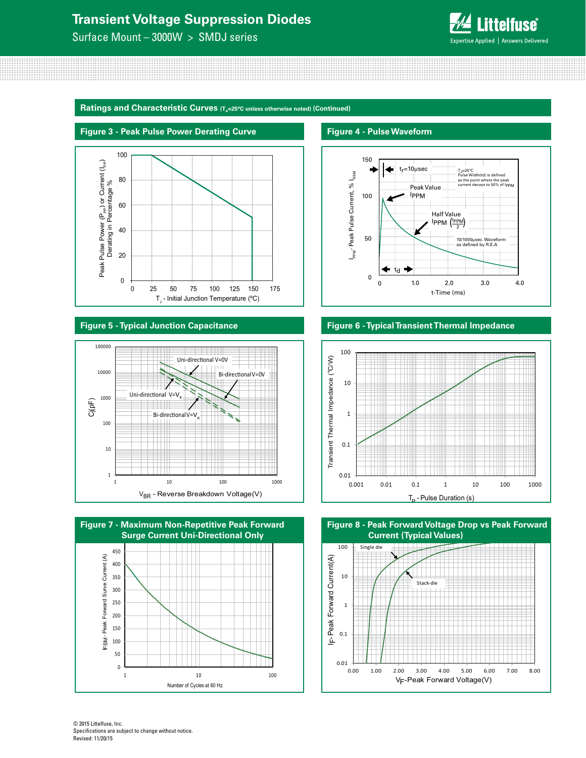Surface Mount – 3000W > SMDJ series



**Ratings and Characteristic Curves (T<sub>A</sub>=25°C unless otherwise noted) (Continued)** 



#### **Figure 5 - Typical Junction Capacitance**





**Figure 4 - Pulse Waveform**



### **Figure 6 - Typical Transient Thermal Impedance**



0.01 0.1 1 10 100 0.00 1.00 2.00 3.00 4.00 5.00 6.00 7.00 8.00 Single die Stack-die IF-Peak Forward Current(A) F-Peak Forward Current(A) V<sub>F</sub>-Peak Forward Voltage(V) **Figure 8 - Peak Forward Voltage Drop vs Peak Forward Current (Typical Values)**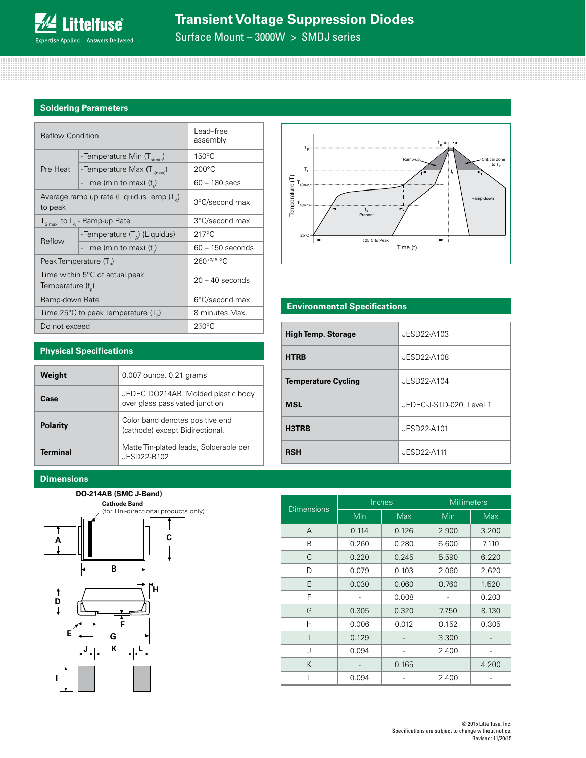Surface Mount – 3000W > SMDJ series

### **Soldering Parameters**

| <b>Reflow Condition</b>            |                                                    | Lead-free<br>assembly |
|------------------------------------|----------------------------------------------------|-----------------------|
|                                    | - Temperature Min (T <sub>s(min)</sub> )           | $150^{\circ}$ C       |
| Pre Heat                           | - Temperature Max (T <sub>s(max)</sub> )           | $200^{\circ}$ C       |
|                                    | - Time (min to max) $(ts)$                         | $60 - 180$ secs       |
| to peak                            | Average ramp up rate (Liquidus Temp $(T_{\alpha})$ | 3°C/second max        |
|                                    | $T_{S(max)}$ to $T_A$ - Ramp-up Rate               | 3°C/second max        |
| Reflow                             | - Temperature $(T_A)$ (Liquidus)                   | $217^{\circ}$ C       |
|                                    | - Time (min to max) (t)                            | $60 - 150$ seconds    |
| Peak Temperature (T <sub>D</sub> ) |                                                    | $260^{+0/5}$ °C       |
| Temperature $(t_{n})$              | Time within 5°C of actual peak                     | $20 - 40$ seconds     |
| Ramp-down Rate                     |                                                    | 6°C/second max        |
|                                    | Time 25°C to peak Temperature (T <sub>a</sub> )    | 8 minutes Max.        |
| Do not exceed                      |                                                    | $260^{\circ}$ C       |



### **Environmental Specifications**

| <b>High Temp. Storage</b>  | JESD22-A103              |
|----------------------------|--------------------------|
| <b>HTRB</b>                | JESD22-A108              |
| <b>Temperature Cycling</b> | JESD22-A104              |
| <b>MSL</b>                 | JEDEC-J-STD-020, Level 1 |
| H3TRB                      | JESD22-A101              |
| <b>RSH</b>                 | JESD22-A111              |

### **Physical Specifications**

| Weight          | 0.007 ounce, 0.21 grams                                              |
|-----------------|----------------------------------------------------------------------|
| Case            | JEDEC DO214AB. Molded plastic body<br>over glass passivated junction |
| <b>Polarity</b> | Color band denotes positive end<br>(cathode) except Bidirectional.   |
| Terminal        | Matte Tin-plated leads, Solderable per<br>JESD22-B102                |

### **Dimensions**





|                   |       | Inches     | <b>Millimeters</b> |       |  |
|-------------------|-------|------------|--------------------|-------|--|
| <b>Dimensions</b> | Min   | <b>Max</b> | Min                | Max   |  |
| A                 | 0.114 | 0.126      | 2.900              | 3.200 |  |
| B                 | 0.260 | 0.280      | 6.600              | 7.110 |  |
| C                 | 0.220 | 0.245      | 5.590              | 6.220 |  |
| D                 | 0.079 | 0.103      | 2.060              | 2.620 |  |
| E                 | 0.030 | 0.060      | 0.760              | 1.520 |  |
| F                 |       | 0.008      |                    | 0.203 |  |
| G                 | 0.305 | 0.320      | 7.750              | 8.130 |  |
| Н                 | 0.006 | 0.012      | 0.152              | 0.305 |  |
|                   | 0.129 |            | 3.300              |       |  |
| J                 | 0.094 |            | 2.400              |       |  |
| K                 |       | 0.165      |                    | 4.200 |  |
|                   | 0.094 |            | 2.400              |       |  |